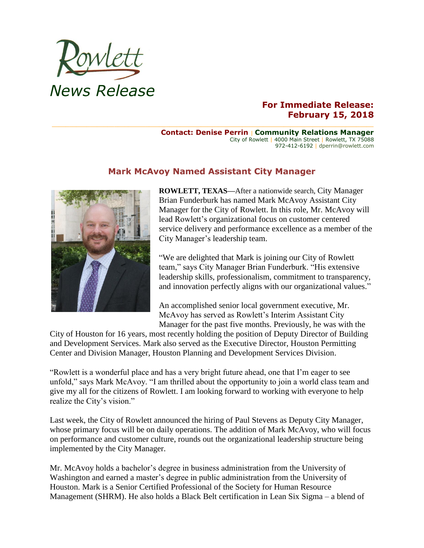

## **For Immediate Release: February 15, 2018**

**Contact: Denise Perrin** | **Community Relations Manager** City of Rowlett | 4000 Main Street | Rowlett, TX 75088 972-412-6192 | dperrin@rowlett.com

## **Mark McAvoy Named Assistant City Manager**



**ROWLETT, TEXAS—**After a nationwide search, City Manager Brian Funderburk has named Mark McAvoy Assistant City Manager for the City of Rowlett. In this role, Mr. McAvoy will lead Rowlett's organizational focus on customer centered service delivery and performance excellence as a member of the City Manager's leadership team.

"We are delighted that Mark is joining our City of Rowlett team," says City Manager Brian Funderburk. "His extensive leadership skills, professionalism, commitment to transparency, and innovation perfectly aligns with our organizational values."

An accomplished senior local government executive, Mr. McAvoy has served as Rowlett's Interim Assistant City Manager for the past five months. Previously, he was with the

City of Houston for 16 years, most recently holding the position of Deputy Director of Building and Development Services. Mark also served as the Executive Director, Houston Permitting Center and Division Manager, Houston Planning and Development Services Division.

"Rowlett is a wonderful place and has a very bright future ahead, one that I'm eager to see unfold," says Mark McAvoy. "I am thrilled about the opportunity to join a world class team and give my all for the citizens of Rowlett. I am looking forward to working with everyone to help realize the City's vision."

Last week, the City of Rowlett announced the hiring of Paul Stevens as Deputy City Manager, whose primary focus will be on daily operations. The addition of Mark McAvoy, who will focus on performance and customer culture, rounds out the organizational leadership structure being implemented by the City Manager.

Mr. McAvoy holds a bachelor's degree in business administration from the University of Washington and earned a master's degree in public administration from the University of Houston. Mark is a Senior Certified Professional of the Society for Human Resource Management (SHRM). He also holds a Black Belt certification in Lean Six Sigma – a blend of